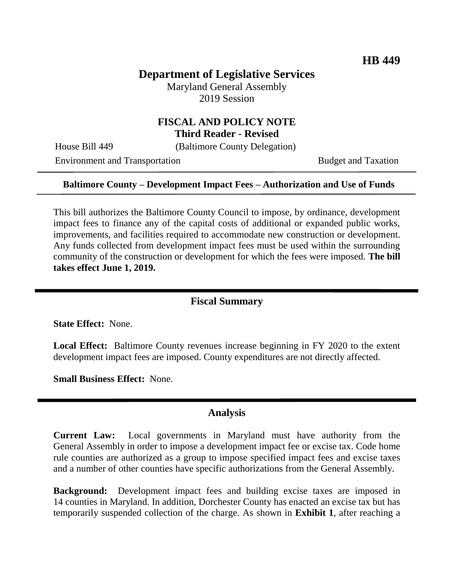## **Department of Legislative Services**

Maryland General Assembly 2019 Session

#### **FISCAL AND POLICY NOTE Third Reader - Revised**

֬֘֒

House Bill 449 (Baltimore County Delegation)

Environment and Transportation Budget and Taxation

#### **Baltimore County – Development Impact Fees – Authorization and Use of Funds**

This bill authorizes the Baltimore County Council to impose, by ordinance, development impact fees to finance any of the capital costs of additional or expanded public works, improvements, and facilities required to accommodate new construction or development. Any funds collected from development impact fees must be used within the surrounding community of the construction or development for which the fees were imposed. **The bill takes effect June 1, 2019.**

#### **Fiscal Summary**

**State Effect:** None.

**Local Effect:** Baltimore County revenues increase beginning in FY 2020 to the extent development impact fees are imposed. County expenditures are not directly affected.

**Small Business Effect:** None.

#### **Analysis**

**Current Law:** Local governments in Maryland must have authority from the General Assembly in order to impose a development impact fee or excise tax. Code home rule counties are authorized as a group to impose specified impact fees and excise taxes and a number of other counties have specific authorizations from the General Assembly.

**Background:** Development impact fees and building excise taxes are imposed in 14 counties in Maryland. In addition, Dorchester County has enacted an excise tax but has temporarily suspended collection of the charge. As shown in **Exhibit 1**, after reaching a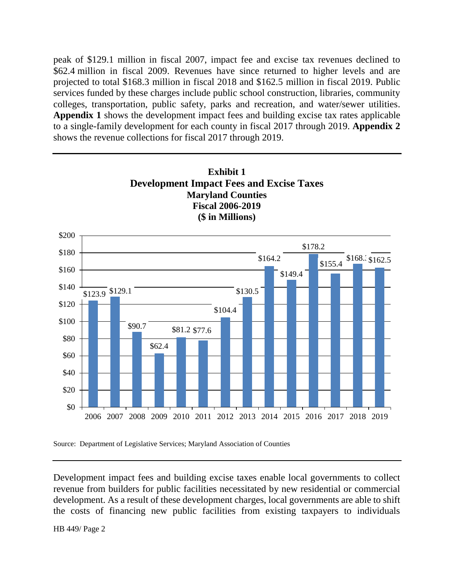peak of \$129.1 million in fiscal 2007, impact fee and excise tax revenues declined to \$62.4 million in fiscal 2009. Revenues have since returned to higher levels and are projected to total \$168.3 million in fiscal 2018 and \$162.5 million in fiscal 2019. Public services funded by these charges include public school construction, libraries, community colleges, transportation, public safety, parks and recreation, and water/sewer utilities. **Appendix 1** shows the development impact fees and building excise tax rates applicable to a single-family development for each county in fiscal 2017 through 2019. **Appendix 2** shows the revenue collections for fiscal 2017 through 2019.





Development impact fees and building excise taxes enable local governments to collect revenue from builders for public facilities necessitated by new residential or commercial development. As a result of these development charges, local governments are able to shift the costs of financing new public facilities from existing taxpayers to individuals

HB 449/ Page 2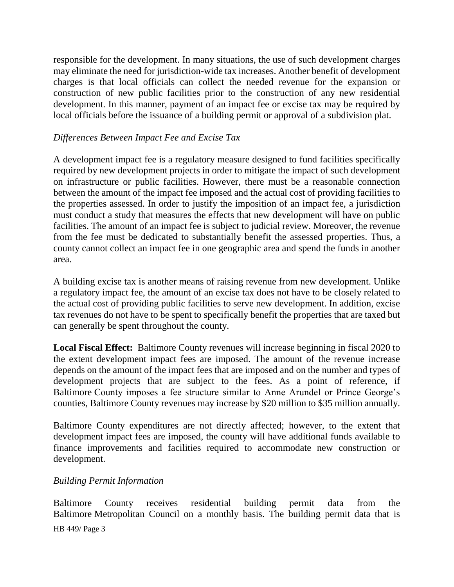responsible for the development. In many situations, the use of such development charges may eliminate the need for jurisdiction-wide tax increases. Another benefit of development charges is that local officials can collect the needed revenue for the expansion or construction of new public facilities prior to the construction of any new residential development. In this manner, payment of an impact fee or excise tax may be required by local officials before the issuance of a building permit or approval of a subdivision plat.

#### *Differences Between Impact Fee and Excise Tax*

A development impact fee is a regulatory measure designed to fund facilities specifically required by new development projects in order to mitigate the impact of such development on infrastructure or public facilities. However, there must be a reasonable connection between the amount of the impact fee imposed and the actual cost of providing facilities to the properties assessed. In order to justify the imposition of an impact fee, a jurisdiction must conduct a study that measures the effects that new development will have on public facilities. The amount of an impact fee is subject to judicial review. Moreover, the revenue from the fee must be dedicated to substantially benefit the assessed properties. Thus, a county cannot collect an impact fee in one geographic area and spend the funds in another area.

A building excise tax is another means of raising revenue from new development. Unlike a regulatory impact fee, the amount of an excise tax does not have to be closely related to the actual cost of providing public facilities to serve new development. In addition, excise tax revenues do not have to be spent to specifically benefit the properties that are taxed but can generally be spent throughout the county.

**Local Fiscal Effect:** Baltimore County revenues will increase beginning in fiscal 2020 to the extent development impact fees are imposed. The amount of the revenue increase depends on the amount of the impact fees that are imposed and on the number and types of development projects that are subject to the fees. As a point of reference, if Baltimore County imposes a fee structure similar to Anne Arundel or Prince George's counties, Baltimore County revenues may increase by \$20 million to \$35 million annually.

Baltimore County expenditures are not directly affected; however, to the extent that development impact fees are imposed, the county will have additional funds available to finance improvements and facilities required to accommodate new construction or development.

#### *Building Permit Information*

Baltimore County receives residential building permit data from the Baltimore Metropolitan Council on a monthly basis. The building permit data that is

HB 449/ Page 3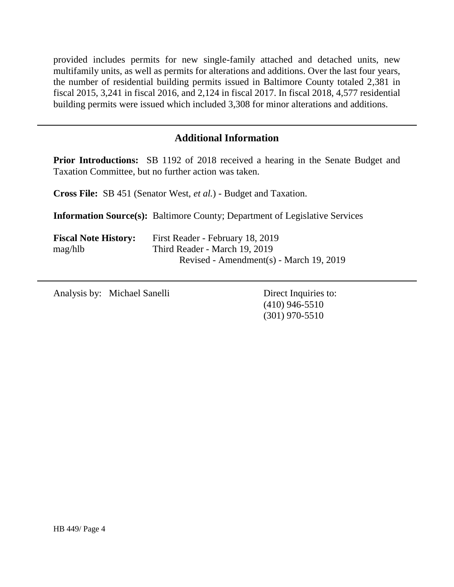provided includes permits for new single-family attached and detached units, new multifamily units, as well as permits for alterations and additions. Over the last four years, the number of residential building permits issued in Baltimore County totaled 2,381 in fiscal 2015, 3,241 in fiscal 2016, and 2,124 in fiscal 2017. In fiscal 2018, 4,577 residential building permits were issued which included 3,308 for minor alterations and additions.

### **Additional Information**

**Prior Introductions:** SB 1192 of 2018 received a hearing in the Senate Budget and Taxation Committee, but no further action was taken.

**Cross File:** SB 451 (Senator West, *et al.*) - Budget and Taxation.

**Information Source(s):** Baltimore County; Department of Legislative Services

| <b>Fiscal Note History:</b> | First Reader - February 18, 2019        |
|-----------------------------|-----------------------------------------|
| mag/hlb                     | Third Reader - March 19, 2019           |
|                             | Revised - Amendment(s) - March 19, 2019 |

Analysis by: Michael Sanelli Direct Inquiries to:

(410) 946-5510 (301) 970-5510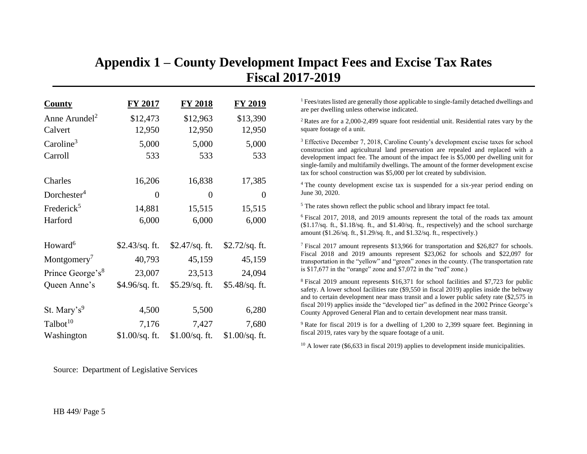## **Appendix 1 – County Development Impact Fees and Excise Tax Rates Fiscal 2017-2019**

| <b>County</b>                | <u>FY 2017</u> | <b>FY 2018</b>  | <b>FY 2019</b>   |
|------------------------------|----------------|-----------------|------------------|
| Anne Arundel <sup>2</sup>    | \$12,473       | \$12,963        | \$13,390         |
| Calvert                      | 12,950         | 12,950          | 12,950           |
| Caroline <sup>3</sup>        | 5,000          | 5,000           | 5,000            |
| Carroll                      | 533            | 533             | 533              |
| Charles                      | 16,206         | 16,838          | 17,385           |
| Dorchester <sup>4</sup>      | 0              | 0               | 0                |
| Frederick <sup>5</sup>       | 14,881         | 15,515          | 15,515           |
| Harford                      | 6,000          | 6,000           | 6,000            |
| Howard <sup>6</sup>          | \$2.43/sq. ft. | \$2.47/sq. ft.  | $$2.72$ /sq. ft. |
| Montgomery <sup>'</sup>      | 40,793         | 45,159          | 45,159           |
| Prince George's <sup>8</sup> | 23,007         | 23,513          | 24,094           |
| Queen Anne's                 | \$4.96/sq. ft. | \$5.29/sq. ft.  | \$5.48/sq. ft.   |
| St. Mary's <sup>9</sup>      | 4,500          | 5,500           | 6,280            |
| Talbot <sup>10</sup>         | 7,176          | 7,427           | 7,680            |
| Washington                   | \$1.00/sq. ft. | $$1.00/sq.$ ft. | $$1.00/sq.$ ft.  |

Source: Department of Legislative Services

<sup>1</sup> Fees/rates listed are generally those applicable to single-family detached dwellings and are per dwelling unless otherwise indicated.

<sup>2</sup> Rates are for a 2,000-2,499 square foot residential unit. Residential rates vary by the square footage of a unit.

<sup>3</sup> Effective December 7, 2018, Caroline County's development excise taxes for school construction and agricultural land preservation are repealed and replaced with a development impact fee. The amount of the impact fee is \$5,000 per dwelling unit for single-family and multifamily dwellings. The amount of the former development excise tax for school construction was \$5,000 per lot created by subdivision.

<sup>4</sup> The county development excise tax is suspended for a six-year period ending on June 30, 2020.

<sup>5</sup> The rates shown reflect the public school and library impact fee total.

<sup>6</sup> Fiscal 2017, 2018, and 2019 amounts represent the total of the roads tax amount (\$1.17/sq. ft., \$1.18/sq. ft., and \$1.40/sq. ft., respectively) and the school surcharge amount (\$1.26/sq. ft., \$1.29/sq. ft., and \$1.32/sq. ft., respectively.)

<sup>7</sup> Fiscal 2017 amount represents \$13,966 for transportation and \$26,827 for schools. Fiscal 2018 and 2019 amounts represent \$23,062 for schools and \$22,097 for transportation in the "yellow" and "green" zones in the county. (The transportation rate is \$17,677 in the "orange" zone and \$7,072 in the "red" zone.)

<sup>8</sup> Fiscal 2019 amount represents \$16,371 for school facilities and \$7,723 for public safety. A lower school facilities rate (\$9,550 in fiscal 2019) applies inside the beltway and to certain development near mass transit and a lower public safety rate (\$2,575 in fiscal 2019) applies inside the "developed tier" as defined in the 2002 Prince George's County Approved General Plan and to certain development near mass transit.

<sup>9</sup> Rate for fiscal 2019 is for a dwelling of 1,200 to 2,399 square feet. Beginning in fiscal 2019, rates vary by the square footage of a unit.

 $10$  A lower rate (\$6,633 in fiscal 2019) applies to development inside municipalities.